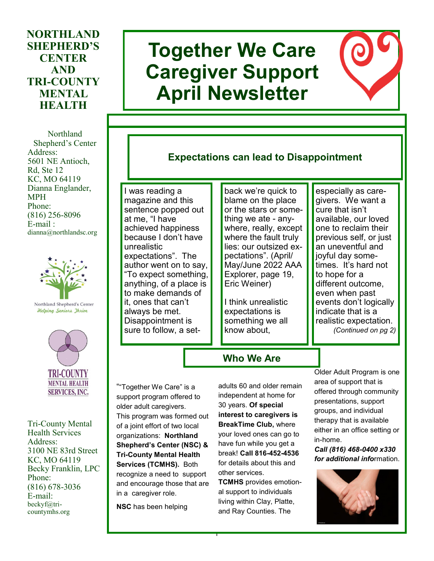## **NORTHLAND SHEPHERD'S CENTER AND TRI-COUNTY MENTAL HEALTH**

Northland Shepherd's Center Address: 5601 NE Antioch, Rd, Ste 12 KC, MO 64119 Dianna Englander, MPH Phone: (816) 256-8096 E-mail : dianna@northlandsc.org



Northland Shepherd's Center **Helping Seniors Ihrive** 



Tri-County Mental Health Services Address: 3100 NE 83rd Street KC, MO 64119 Becky Franklin, LPC Phone: (816) 678-3036 E-mail: beckyf@tricountymhs.org

# **Together We Care Caregiver Support April Newsletter**



# **Expectations can lead to Disappointment**

I was reading a magazine and this sentence popped out at me, "I have achieved happiness because I don't have unrealistic expectations". The author went on to say, "To expect something, anything, of a place is to make demands of it, ones that can't always be met. Disappointment is sure to follow, a set-

back we're quick to blame on the place or the stars or something we ate - anywhere, really, except where the fault truly lies: our outsized expectations". (April/ May/June 2022 AAA Explorer, page 19, Eric Weiner)

I think unrealistic expectations is something we all know about,

especially as caregivers. We want a cure that isn't available, our loved one to reclaim their previous self, or just an uneventful and joyful day sometimes. It's hard not to hope for a different outcome, even when past events don't logically indicate that is a realistic expectation. *(Continued on pg 2)*

**Who We Are**

""Together We Care" is a support program offered to older adult caregivers. This program was formed out of a joint effort of two local organizations: **Northland Shepherd's Center (NSC) & Tri-County Mental Health Services (TCMHS).** Both recognize a need to support and encourage those that are in a caregiver role.

**NSC** has been helping

adults 60 and older remain independent at home for 30 years. **Of special interest to caregivers is BreakTime Club,** where your loved ones can go to have fun while you get a break! **Call 816-452-4536**  for details about this and other services.

**TCMHS** provides emotional support to individuals living within Clay, Platte, and Ray Counties. The

1

Older Adult Program is one area of support that is offered through community presentations, support groups, and individual therapy that is available either in an office setting or in-home.

#### *Call (816) 468-0400 x330 for additional info*rmation.

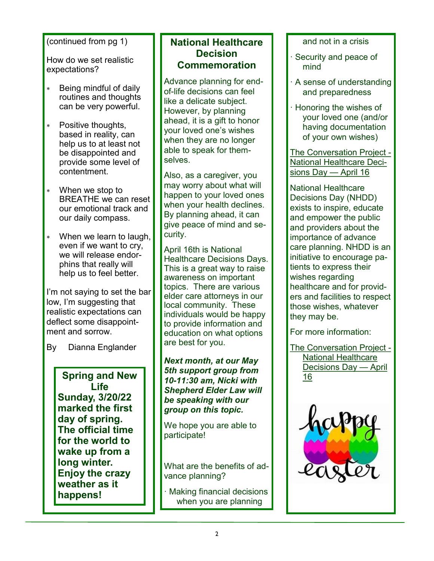#### (continued from pg 1)

How do we set realistic expectations?

- Being mindful of daily routines and thoughts can be very powerful.
- Positive thoughts, based in reality, can help us to at least not be disappointed and provide some level of contentment.
- When we stop to BREATHE we can reset our emotional track and our daily compass.
- When we learn to laugh, even if we want to cry, we will release endorphins that really will help us to feel better.

I'm not saying to set the bar low, I'm suggesting that realistic expectations can deflect some disappointment and sorrow.

By Dianna Englander

**Life Sunday, 3/20/22 marked the first day of spring. The official time for the world to wake up from a long winter. Enjoy the crazy weather as it happens!**

## **National Healthcare Decision Commemoration**

Advance planning for endof-life decisions can feel like a delicate subject. However, by planning ahead, it is a gift to honor your loved one's wishes when they are no longer able to speak for themselves.

Also, as a caregiver, you may worry about what will happen to your loved ones when your health declines. By planning ahead, it can give peace of mind and security.

April 16th is National Healthcare Decisions Days. This is a great way to raise awareness on important topics. There are various elder care attorneys in our local community. These individuals would be happy to provide information and education on what options are best for you.

#### *Next month, at our May 5th support group from 10-11:30 am, Nicki with Shepherd Elder Law will be speaking with our group on this topic.*  **Spring and New**  $\begin{array}{|c|c|c|c|c|c|}\n\hline\n\end{array}$  **<b>Spring and New**  $\begin{array}{|c|c|c|c|c|}\n\hline\n\end{array}$  **[16](https://theconversationproject.org/nhdd/?msclkid=be7fa33fb43011ec9c43d816106012ac)** and New  $\begin{array}{|c|c|c|c|c|}\n\hline\n\end{array}$  16

We hope you are able to participate!

What are the benefits of advance planning?

Making financial decisions when you are planning

and not in a crisis

- · Security and peace of mind
- · A sense of understanding and preparedness
- · Honoring the wishes of your loved one (and/or having documentation of your own wishes)

[The Conversation Project](https://theconversationproject.org/nhdd/?msclkid=5b7097bcb42411ecbf758fecbbd5ab98) - [National Healthcare Deci](https://theconversationproject.org/nhdd/?msclkid=5b7097bcb42411ecbf758fecbbd5ab98)[sions Day —](https://theconversationproject.org/nhdd/?msclkid=5b7097bcb42411ecbf758fecbbd5ab98) April 16

National Healthcare Decisions Day (NHDD) exists to inspire, educate and empower the public and providers about the importance of advance care planning. NHDD is an initiative to encourage patients to express their wishes regarding healthcare and for providers and facilities to respect those wishes, whatever they may be.

For more information:

[The Conversation Project](https://theconversationproject.org/nhdd/?msclkid=be7fa33fb43011ec9c43d816106012ac) - [National Healthcare](https://theconversationproject.org/nhdd/?msclkid=be7fa33fb43011ec9c43d816106012ac)  [Decisions Day —](https://theconversationproject.org/nhdd/?msclkid=be7fa33fb43011ec9c43d816106012ac) April

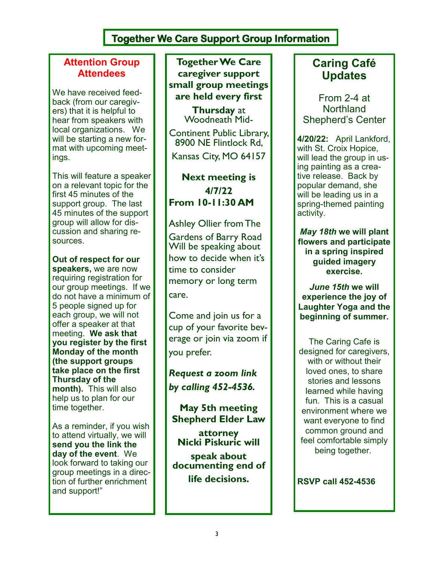# **Together We Care Support Group Information**

## **Attention Group Attendees**

We have received feedback (from our caregivers) that it is helpful to hear from speakers with local organizations. We will be starting a new format with upcoming meetings.

This will feature a speaker on a relevant topic for the first 45 minutes of the support group. The last 45 minutes of the support group will allow for discussion and sharing resources.

**Out of respect for our speakers,** we are now requiring registration for our group meetings. If we do not have a minimum of 5 people signed up for each group, we will not offer a speaker at that meeting. **We ask that you register by the first Monday of the month (the support groups take place on the first Thursday of the month).** This will also help us to plan for our time together.

As a reminder, if you wish to attend virtually, we will **send you the link the day of the event**. We look forward to taking our group meetings in a direction of further enrichment and support!"

**Together We Care caregiver support small group meetings are held every first** 

> **Thursday** at Woodneath Mid-

Continent Public Library, 8900 NE Flintlock Rd, Kansas City, MO 64157

**Next meeting is 4/7/22 From 10-11:30 AM**

Ashley Ollier from The Gardens of Barry Road Will be speaking about how to decide when it's time to consider memory or long term care.

Come and join us for a cup of your favorite beverage or join via zoom if you prefer.

*Request a zoom link by calling 452-4536.* 

**May 5th meeting Shepherd Elder Law** 

**attorney Nicki Piskuric will** 

**speak about documenting end of life decisions.**

# **Caring Café Updates**

From 2-4 at **Northland** Shepherd's Center

**4/20/22:** April Lankford, with St. Croix Hopice, will lead the group in using painting as a creative release. Back by popular demand, she will be leading us in a spring-themed painting activity.

*May 18th* **we will plant flowers and participate in a spring inspired guided imagery exercise.**

*June 15th* **we will experience the joy of Laughter Yoga and the beginning of summer.**

The Caring Cafe is designed for caregivers, with or without their loved ones, to share stories and lessons learned while having fun. This is a casual environment where we want everyone to find common ground and feel comfortable simply being together.

**RSVP call 452-4536**